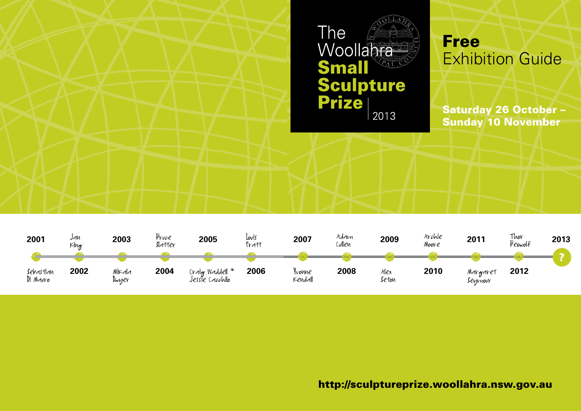

| 2001                  | Jan<br>$K$ lng | 2003            | Fruce<br>Slatter | 2005                               | Louis<br>Pratt | 2007              | Addın<br>Cullen | 2009         | Archie<br>Noore | 2011                 | Thor<br>Beowolf | 2013 |
|-----------------------|----------------|-----------------|------------------|------------------------------------|----------------|-------------------|-----------------|--------------|-----------------|----------------------|-----------------|------|
|                       |                |                 |                  |                                    |                |                   |                 |              |                 |                      |                 |      |
| Sebastian<br>Di Mauro | 2002           | Mikala<br>Dwuer | 2004             | Cralg Waddell +<br>Jessie Cacchilo | 2006           | Ivonne<br>Kendall | 2008            | Mex<br>Seton | 2010            | Margaret<br>Sevimour | 2012            |      |

http://sculptureprize.woollahra.nsw.gov.au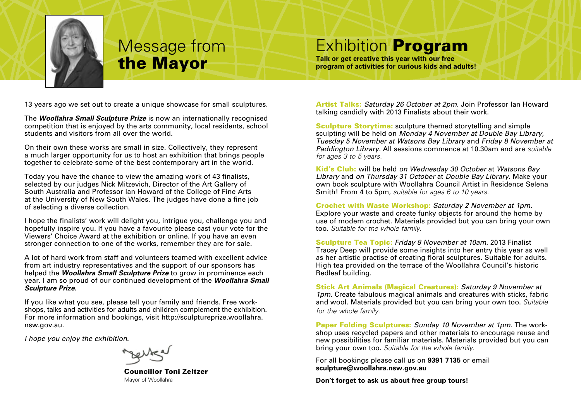

# Message from the Mayor

# Exhibition Program

**Talk or get creative this year with our free program of activities for curious kids and adults!**

13 years ago we set out to create a unique showcase for small sculptures.

The *Woollahra Small Sculpture Prize* is now an internationally recognised competition that is enjoyed by the arts community, local residents, school students and visitors from all over the world.

On their own these works are small in size. Collectively, they represent a much larger opportunity for us to host an exhibition that brings people together to celebrate some of the best contemporary art in the world.

Today you have the chance to view the amazing work of 43 finalists, selected by our judges Nick Mitzevich, Director of the Art Gallery of South Australia and Professor Ian Howard of the College of Fine Arts at the University of New South Wales. The judges have done a fine job of selecting a diverse collection.

I hope the finalists' work will delight you, intrigue you, challenge you and hopefully inspire you. If you have a favourite please cast your vote for the Viewers' Choice Award at the exhibition or online. If you have an even stronger connection to one of the works, remember they are for sale.

A lot of hard work from staff and volunteers teamed with excellent advice from art industry representatives and the support of our sponsors has helped the *Woollahra Small Sculpture Prize* to grow in prominence each year. I am so proud of our continued development of the *Woollahra Small Sculpture Prize.*

If you like what you see, please tell your family and friends. Free workshops, talks and activities for adults and children complement the exhibition. For more information and bookings, visit http://sculptureprize.woollahra. nsw.gov.au.

*I hope you enjoy the exhibition.*

 Councillor Toni Zeltzer Mayor of Woollahra

Artist Talks: *Saturday 26 October at 2pm.* Join Professor Ian Howard talking candidly with 2013 Finalists about their work.

Sculpture Storytime: sculpture themed storytelling and simple sculpting will be held on *Monday 4 November at Double Bay Library, Tuesday 5 November at Watsons Bay Library* and *Friday 8 November at Paddington Library.* All sessions commence at 10.30am and are *suitable for ages 3 to 5 years.*

Kid's Club: will be held *on Wednesday 30 October* at *Watsons Bay Library* and *on Thursday 31 October* at *Double Bay Library.* Make your own book sculpture with Woollahra Council Artist in Residence Selena Smith! From 4 to 5pm, *suitable for ages 6 to 10 years.*

Crochet with Waste Workshop: *Saturday 2 November at 1pm.* Explore your waste and create funky objects for around the home by use of modern crochet. Materials provided but you can bring your own too. *Suitable for the whole family.*

Sculpture Tea Topic: *Friday 8 November at 10am.* 2013 Finalist Tracey Deep will provide some insights into her entry this year as well as her artistic practise of creating floral sculptures. Suitable for adults. High tea provided on the terrace of the Woollahra Council's historic Redleaf building.

Stick Art Animals (Magical Creatures): *Saturday 9 November at 1pm.* Create fabulous magical animals and creatures with sticks, fabric and wool. Materials provided but you can bring your own too. *Suitable for the whole family.*

Paper Folding Sculptures: *Sunday 10 November at 1pm.* The workshop uses recycled papers and other materials to encourage reuse and new possibilities for familiar materials. Materials provided but you can bring your own too. *Suitable for the whole family.*

For all bookings please call us on **9391 7135** or email **sculpture@woollahra.nsw.gov.au**

**Don't forget to ask us about free group tours!**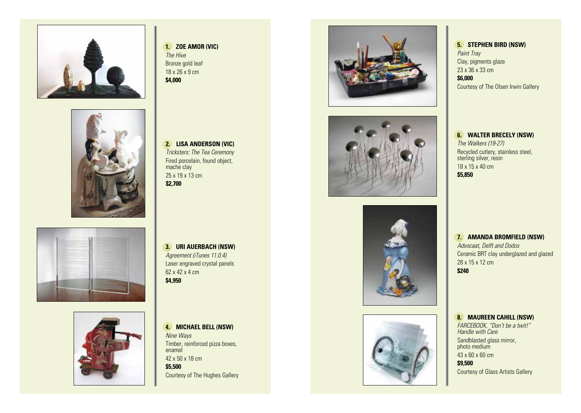







#### **1. ZOE AMOR (VIC)** *The Hive* Bronze gold leaf 18 x 26 x 9 cm **\$4,000**

**2. LISA ANDERSON (VIC)** *Tricksters: The Tea Ceremony* Fired porcelain, found object, mache clay 25 x 19 x 13 cm **\$2,700**

**3. URI AUERBACH (NSW)** *Agreement (iTunes 11.0.4)* Laser engraved crystal panels 62 x 42 x 4 cm **\$4,950**

**4. MICHAEL BELL (NSW)** *Nine Ways* Timber, reinforced pizza boxes, enamel 42 x 50 x 18 cm **\$5,500** Courtesy of The Hughes Gallery









**5. STEPHEN BIRD (NSW)** *Paint Tray* Clay, pigments glaze 23 x 36 x 33 cm **\$6,000** Courtesy of The Olsen Irwin Gallery

**6. WALTER BRECELY (NSW)** *The Walkers (19-27)* Recycled cutlery, stainless steel, sterling silver, resin 18 x 15 x 40 cm **\$5,850**

**7. AMANDA BROMFIELD (NSW)** *Advocaat, Delft and Dodos* Ceramic BRT clay underglazed and glazed 28 x 15 x 12 cm **\$240**

### **8. MAUREEN CAHILL (NSW)**

*FARCEBOOK, "Don't be a twit!" Handle with Care* Sandblasted glass mirror, photo medium 43 x 60 x 60 cm

**\$9,500** Courtesy of Glass Artists Gallery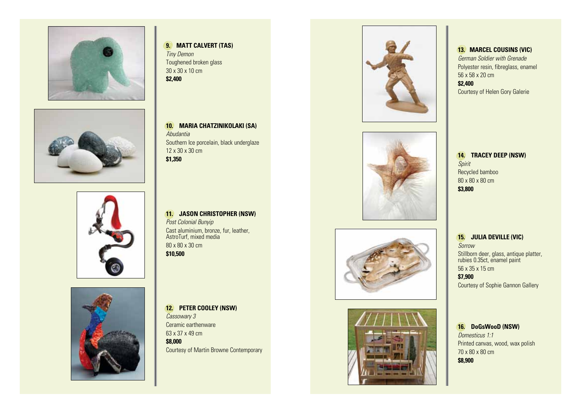





**9. MATT CALVERT (TAS)** *Tiny Demon* Toughened broken glass 30 x 30 x 10 cm

**\$2,400**

**10. MARIA CHATZINIKOLAKI (SA)** *Abudantia* Southern Ice porcelain, black underglaze 12 x 30 x 30 cm **\$1,350**

**11. JASON CHRISTOPHER (NSW)** *Post Colonial Bunyip* Cast aluminium, bronze, fur, leather, AstroTurf, mixed media 80 x 80 x 30 cm **\$10,500**



**12. PETER COOLEY (NSW)** *Cassowary 3* Ceramic earthenware 63 x 37 x 49 cm **\$8,000** Courtesy of Martin Browne Contemporary









**13. MARCEL COUSINS (VIC)** *German Soldier with Grenade* Polyester resin, fibreglass, enamel 56 x 58 x 20 cm **\$2,400** Courtesy of Helen Gory Galerie

**14. TRACEY DEEP (NSW)** *Spirit* Recycled bamboo 80 x 80 x 80 cm **\$3,800**

**15. JULIA DEVILLE (VIC)** *Sorrow* Stillborn deer, glass, antique platter, rubies 0.35ct, enamel paint 56 x 35 x 15 cm **\$7,900** Courtesy of Sophie Gannon Gallery

**16. DoGsWooD (NSW)** *Domesticus 1:1* Printed canvas, wood, wax polish 70 x 80 x 80 cm **\$8,900**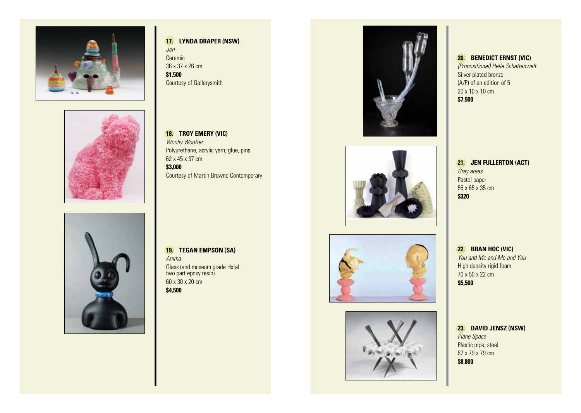





#### **17. LYNDA DRAPER (NSW)** *Jen* Ceramic 36 x 37 x 26 cm **\$1,500** Courtesy of Gallerysmith

**18. TROY EMERY (VIC)** *Woolly Woofter* Polyurethane, acrylic yarn, glue, pins 62 x 45 x 37 cm **\$3,000** Courtesy of Martin Browne Contemporary

**19. TEGAN EMPSON (SA)** *Anima* Glass (and museum grade Hxtal two part epoxy resin) 60 x 30 x 20 cm **\$4,500**









### **20. BENEDICT ERNST (VIC)** *(Propositional) Helle Schattenwelt*

Silver plated bronze (A/P) of an edition of 5 20 x 10 x 10 cm **\$7,500**

### **21. JEN FULLERTON (ACT)** *Grey areas* Pastel paper 55 x 65 x 35 cm **\$320**

**22. BRAN HOC (VIC)** *You and Me and Me and You* High density rigid foam 70 x 50 x 22 cm **\$5,500**

**23. DAVID JENSZ (NSW)** *Plane Space* Plastic pipe, steel 67 x 79 x 79 cm **\$8,800**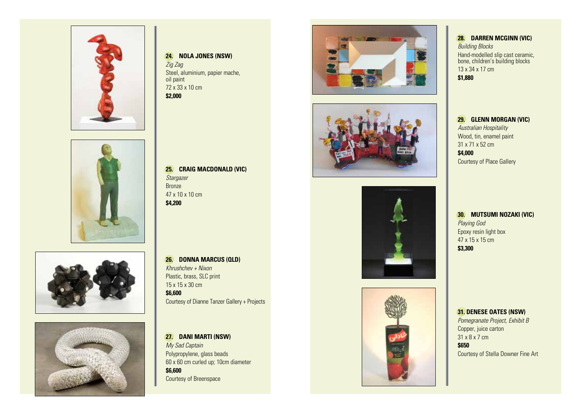







#### **24. NOLA JONES (NSW)** *Zig Zag* Steel, aluminium, papier mache,

oil paint 72 x 33 x 10 cm **\$2,000**









**28. DARREN MCGINN (VIC)** *Building Blocks* Hand-modelled slip cast ceramic, bone, children's building blocks 13 x 34 x 17 cm **\$1,880**

**29. GLENN MORGAN (VIC)** *Australian Hospitality* Wood, tin, enamel paint 31 x 71 x 52 cm **\$4,000** Courtesy of Place Gallery

**30. MUTSUMI NOZAKI (VIC)** *Playing God* Epoxy resin light box 47 x 15 x 15 cm **\$3,300**

#### **31. DENESE OATES (NSW)**

*Pomegranate Project, Exhibit B* Copper, juice carton 31 x 8 x 7 cm **\$650** Courtesy of Stella Downer Fine Art

**25. CRAIG MACDONALD (VIC)** *Stargazer* Bronze 47 x 10 x 10 cm **\$4,200**

**26. DONNA MARCUS (QLD)** *Khrushchev + Nixon* Plastic, brass, SLC print 15 x 15 x 30 cm **\$6,600** Courtesy of Dianne Tanzer Gallery + Projects

**27. DANI MARTI (NSW)** *My Sad Captain* Polypropylene, glass beads 60 x 60 cm curled up; 10cm diameter **\$6,600** Courtesy of Breenspace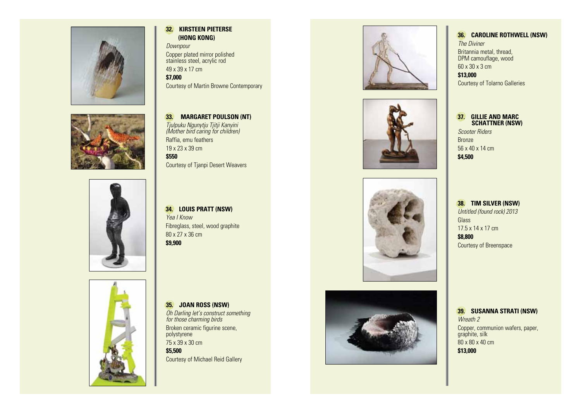





### **32. KIRSTEEN PIETERSE (HONG KONG)**

*Downpour* Copper plated mirror polished stainless steel, acrylic rod 49 x 39 x 17 cm

**\$7,000** Courtesy of Martin Browne Contemporary

**33. MARGARET POULSON (NT)** *Tjulpuku Ngunytju Tjitji Kanyini (Mother bird caring for children)* Raffia, emu feathers 19 x 23 x 39 cm **\$550** Courtesy of Tjanpi Desert Weavers

**34. LOUIS PRATT (NSW)** *Yea I Know* Fibreglass, steel, wood graphite 80 x 27 x 36 cm **\$9,900**



Courtesy of Michael Reid Gallery









## **36. CAROLINE ROTHWELL (NSW)**

*The Diviner* Britannia metal, thread, DPM camouflage, wood 60 x 30 x 3 cm **\$13,000** Courtesy of Tolarno Galleries

## **37. GILLIE AND MARC SCHATTNER (NSW)**

*Scooter Riders* Bronze 56 x 40 x 14 cm **\$4,500**

**38. TIM SILVER (NSW)** *Untitled (found rock) 2013* **Glass** 17.5 x 14 x 17 cm **\$8,800** Courtesy of Breenspace

**39. SUSANNA STRATI (NSW)** *Wreath 2* Copper, communion wafers, paper, graphite, silk 80 x 80 x 40 cm **\$13,000**